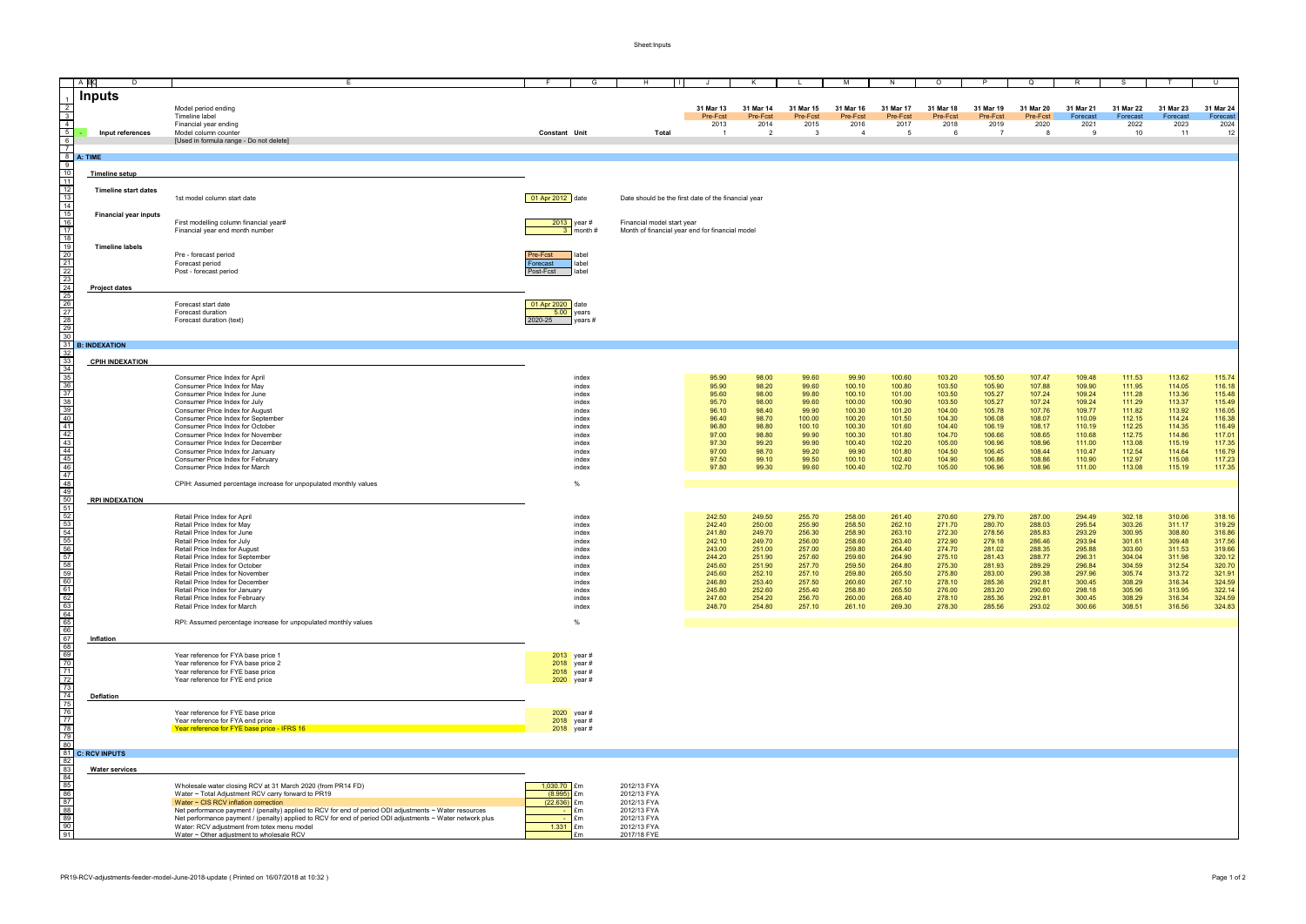Sheet:Inputs

|                                                                                                                                                                                                                                   | <b>AB</b><br>D               | E.                                                                                                                                                                                                                  | G<br>- F                               | H                                                                             | $\perp$               | K                     |                       | M                     | N                     | $\circ$               | P                     | $\Omega$              | R                     | -S                    | T                     | U                     |
|-----------------------------------------------------------------------------------------------------------------------------------------------------------------------------------------------------------------------------------|------------------------------|---------------------------------------------------------------------------------------------------------------------------------------------------------------------------------------------------------------------|----------------------------------------|-------------------------------------------------------------------------------|-----------------------|-----------------------|-----------------------|-----------------------|-----------------------|-----------------------|-----------------------|-----------------------|-----------------------|-----------------------|-----------------------|-----------------------|
|                                                                                                                                                                                                                                   |                              |                                                                                                                                                                                                                     |                                        |                                                                               |                       |                       |                       |                       |                       |                       |                       |                       |                       |                       |                       |                       |
|                                                                                                                                                                                                                                   | <b>Inputs</b>                |                                                                                                                                                                                                                     |                                        |                                                                               |                       |                       |                       |                       |                       |                       |                       |                       |                       |                       |                       |                       |
| $\frac{2}{3}$                                                                                                                                                                                                                     |                              | Model period ending<br>Timeline label                                                                                                                                                                               |                                        |                                                                               | 31 Mar 13<br>Pre-Fcst | 31 Mar 14<br>Pre-Fcst | 31 Mar 15<br>Pre-Fcst | 31 Mar 16<br>Pre-Fcst | 31 Mar 17<br>Pre-Fcst | 31 Mar 18<br>Pre-Fcst | 31 Mar 19<br>Pre-Fcst | 31 Mar 20<br>Pre-Fcst | 31 Mar 21<br>Forecast | 31 Mar 22<br>Forecast | 31 Mar 23<br>Forecast | 31 Mar 24<br>Forecast |
| $\overline{4}$                                                                                                                                                                                                                    |                              | Financial year ending                                                                                                                                                                                               |                                        |                                                                               | 2013                  | 2014                  | 2015                  | 2016                  | 2017                  | 2018                  | 2019                  | 2020                  | 2021                  | 2022                  | 2023                  | 2024                  |
| $\frac{5}{6}$                                                                                                                                                                                                                     | Input references             | Model column counter<br>[Used in formula range - Do not delete]                                                                                                                                                     | Constant Unit                          | <b>Total</b>                                                                  | - 1                   | $\overline{2}$        | $\mathbf{3}$          | $\overline{4}$        | -5                    | 6                     |                       | $\mathbf{R}$          | - 9                   | 10                    | 11                    | 12                    |
| $\overline{7}$                                                                                                                                                                                                                    |                              |                                                                                                                                                                                                                     |                                        |                                                                               |                       |                       |                       |                       |                       |                       |                       |                       |                       |                       |                       |                       |
| 8                                                                                                                                                                                                                                 | A: TIME                      |                                                                                                                                                                                                                     |                                        |                                                                               |                       |                       |                       |                       |                       |                       |                       |                       |                       |                       |                       |                       |
| 9<br>10                                                                                                                                                                                                                           | <b>Timeline setup</b>        |                                                                                                                                                                                                                     |                                        |                                                                               |                       |                       |                       |                       |                       |                       |                       |                       |                       |                       |                       |                       |
| 11                                                                                                                                                                                                                                |                              |                                                                                                                                                                                                                     |                                        |                                                                               |                       |                       |                       |                       |                       |                       |                       |                       |                       |                       |                       |                       |
|                                                                                                                                                                                                                                   | <b>Timeline start dates</b>  |                                                                                                                                                                                                                     |                                        |                                                                               |                       |                       |                       |                       |                       |                       |                       |                       |                       |                       |                       |                       |
|                                                                                                                                                                                                                                   |                              | 1st model column start date                                                                                                                                                                                         | 01 Apr 2012 date                       | Date should be the first date of the financial year                           |                       |                       |                       |                       |                       |                       |                       |                       |                       |                       |                       |                       |
|                                                                                                                                                                                                                                   | <b>Financial year inputs</b> |                                                                                                                                                                                                                     |                                        |                                                                               |                       |                       |                       |                       |                       |                       |                       |                       |                       |                       |                       |                       |
|                                                                                                                                                                                                                                   |                              | First modelling column financial year#                                                                                                                                                                              | 2013<br>$\sqrt{ }$ year #              | Financial model start year<br>Month of financial year end for financial model |                       |                       |                       |                       |                       |                       |                       |                       |                       |                       |                       |                       |
|                                                                                                                                                                                                                                   |                              | Financial year end month number                                                                                                                                                                                     | month#                                 |                                                                               |                       |                       |                       |                       |                       |                       |                       |                       |                       |                       |                       |                       |
|                                                                                                                                                                                                                                   | <b>Timeline labels</b>       |                                                                                                                                                                                                                     |                                        |                                                                               |                       |                       |                       |                       |                       |                       |                       |                       |                       |                       |                       |                       |
|                                                                                                                                                                                                                                   |                              | Pre - forecast period<br>Forecast period                                                                                                                                                                            | Pre-Fcst<br>label<br>label<br>Forecast |                                                                               |                       |                       |                       |                       |                       |                       |                       |                       |                       |                       |                       |                       |
|                                                                                                                                                                                                                                   |                              | Post - forecast period                                                                                                                                                                                              | label<br>Post-Fcst                     |                                                                               |                       |                       |                       |                       |                       |                       |                       |                       |                       |                       |                       |                       |
|                                                                                                                                                                                                                                   |                              |                                                                                                                                                                                                                     |                                        |                                                                               |                       |                       |                       |                       |                       |                       |                       |                       |                       |                       |                       |                       |
|                                                                                                                                                                                                                                   | <b>Project dates</b>         |                                                                                                                                                                                                                     |                                        |                                                                               |                       |                       |                       |                       |                       |                       |                       |                       |                       |                       |                       |                       |
|                                                                                                                                                                                                                                   |                              | Forecast start date                                                                                                                                                                                                 | 01 Apr 2020 date                       |                                                                               |                       |                       |                       |                       |                       |                       |                       |                       |                       |                       |                       |                       |
|                                                                                                                                                                                                                                   |                              | Forecast duration                                                                                                                                                                                                   | $5.00$ years                           |                                                                               |                       |                       |                       |                       |                       |                       |                       |                       |                       |                       |                       |                       |
| 12<br>13<br>14<br>15<br>16<br>17<br>18<br>19<br>20<br>21<br>22<br>22<br>22<br>22<br>22<br>22<br>22<br>22<br>22<br>                                                                                                                |                              | Forecast duration (text)                                                                                                                                                                                            | 2020-25<br>$\vert$ years #             |                                                                               |                       |                       |                       |                       |                       |                       |                       |                       |                       |                       |                       |                       |
| 30                                                                                                                                                                                                                                |                              |                                                                                                                                                                                                                     |                                        |                                                                               |                       |                       |                       |                       |                       |                       |                       |                       |                       |                       |                       |                       |
| 31<br>32                                                                                                                                                                                                                          | <b>B: INDEXATION</b>         |                                                                                                                                                                                                                     |                                        |                                                                               |                       |                       |                       |                       |                       |                       |                       |                       |                       |                       |                       |                       |
|                                                                                                                                                                                                                                   | <b>CPIH INDEXATION</b>       |                                                                                                                                                                                                                     |                                        |                                                                               |                       |                       |                       |                       |                       |                       |                       |                       |                       |                       |                       |                       |
| $\frac{33}{34}$                                                                                                                                                                                                                   |                              |                                                                                                                                                                                                                     |                                        |                                                                               |                       |                       |                       |                       |                       |                       |                       |                       |                       |                       |                       |                       |
|                                                                                                                                                                                                                                   |                              | Consumer Price Index for April<br>Consumer Price Index for May                                                                                                                                                      | index<br>index                         |                                                                               | 95.90<br>95.90        | 98.00<br>98.20        | 99.60<br>99.60        | 99.90<br>100.10       | 100.60<br>100.80      | 103.20<br>103.50      | 105.50<br>105.90      | 107.47<br>107.88      | 109.48<br>109.90      | 111.53<br>111.95      | 113.62<br>114.05      | 115.74<br>116.18      |
|                                                                                                                                                                                                                                   |                              | Consumer Price Index for June                                                                                                                                                                                       | index                                  |                                                                               | 95.60                 | 98.00                 | 99.80                 | 100.10                | 101.00                | 103.50                | 105.27                | 107.24                | 109.24                | 111.28                | 113.36                | 115.48                |
|                                                                                                                                                                                                                                   |                              | Consumer Price Index for July                                                                                                                                                                                       | index                                  |                                                                               | 95.70                 | 98.00                 | 99.60                 | 100.00                | 100.90                | 103.50                | 105.27                | 107.24                | 109.24                | 111.29                | 113.37                | 115.49                |
|                                                                                                                                                                                                                                   |                              | Consumer Price Index for August                                                                                                                                                                                     | index                                  |                                                                               | 96.10                 | 98.40                 | 99.90                 | 100.30                | 101.20                | 104.00                | 105.78                | 107.76                | 109.77                | 111.82                | 113.92                | 116.05<br>116.38      |
|                                                                                                                                                                                                                                   |                              | Consumer Price Index for September<br>Consumer Price Index for October                                                                                                                                              | index<br>index                         |                                                                               | 96.40<br>96.80        | 98.70<br>98.80        | 100.00<br>100.10      | 100.20<br>100.30      | 101.50<br>101.60      | 104.30<br>104.40      | 106.08<br>106.19      | 108.07<br>108.17      | 110.09<br>110.19      | 112.15<br>112.25      | 114.24<br>114.35      | 116.49                |
|                                                                                                                                                                                                                                   |                              | Consumer Price Index for November                                                                                                                                                                                   | index                                  |                                                                               | 97.00                 | 98.80                 | 99.90                 | 100.30                | 101.80                | 104.70                | 106.66                | 108.65                | 110.68                | 112.75                | 114.86                | 117.01                |
|                                                                                                                                                                                                                                   |                              | Consumer Price Index for December                                                                                                                                                                                   | index                                  |                                                                               | 97.30                 | 99.20                 | 99.90                 | 100.40                | 102.20                | 105.00                | 106.96                | 108.96                | 111.00                | 113.08                | 115.19                | 117.35                |
|                                                                                                                                                                                                                                   |                              | Consumer Price Index for January<br>Consumer Price Index for February                                                                                                                                               | index<br>index                         |                                                                               | 97.00<br>97.50        | 98.70<br>99.10        | 99.20<br>99.50        | 99.90<br>100.10       | 101.80<br>102.40      | 104.50<br>104.90      | 106.45<br>106.86      | 108.44<br>108.86      | 110.47<br>110.90      | 112.54<br>112.97      | 114.64<br>115.08      | 116.79<br>117.23      |
|                                                                                                                                                                                                                                   |                              | Consumer Price Index for March                                                                                                                                                                                      | index                                  |                                                                               | 97.80                 | 99.30                 | 99.60                 | 100.40                | 102.70                | 105.00                | 106.96                | 108.96                | 111.00                | 113.08                | 115.19                | 117.35                |
|                                                                                                                                                                                                                                   |                              |                                                                                                                                                                                                                     |                                        |                                                                               |                       |                       |                       |                       |                       |                       |                       |                       |                       |                       |                       |                       |
|                                                                                                                                                                                                                                   |                              | CPIH: Assumed percentage increase for unpopulated monthly values                                                                                                                                                    | $\frac{0}{0}$                          |                                                                               |                       |                       |                       |                       |                       |                       |                       |                       |                       |                       |                       |                       |
|                                                                                                                                                                                                                                   | <b>RPI INDEXATION</b>        |                                                                                                                                                                                                                     |                                        |                                                                               |                       |                       |                       |                       |                       |                       |                       |                       |                       |                       |                       |                       |
|                                                                                                                                                                                                                                   |                              | Retail Price Index for April                                                                                                                                                                                        | index                                  |                                                                               | 242.50                | 249.50                | 255.70                | 258.00                | 261.40                | 270.60                | 279.70                | 287.00                | 294.49                | 302.18                | 310.06                | 318.16                |
|                                                                                                                                                                                                                                   |                              | Retail Price Index for May                                                                                                                                                                                          | index                                  |                                                                               | 242.40                | 250.00                | 255.90                | 258.50                | 262.10                | 271.70                | 280.70                | 288.03                | 295.54                | 303.26                | 311.17                | 319.29                |
|                                                                                                                                                                                                                                   |                              | Retail Price Index for June                                                                                                                                                                                         | index                                  |                                                                               | 241.80                | 249.70                | 256.30                | 258.90                | 263.10                | 272.30                | 278.56                | 285.83                | 293.29                | 300.95                | 308.80                | 316.86                |
| 56                                                                                                                                                                                                                                |                              | Retail Price Index for July<br>Retail Price Index for August                                                                                                                                                        | index<br>index                         |                                                                               | 242.10<br>243.00      | 249.70<br>251.00      | 256.00<br>257.00      | 258.60<br>259.80      | 263.40<br>264.40      | 272.90<br>274.70      | 279.18<br>281.02      | 286.46<br>288.35      | 293.94<br>295.88      | 301.61<br>303.60      | 309.48<br>311.53      | 317.56<br>319.66      |
| 57                                                                                                                                                                                                                                |                              | Retail Price Index for September                                                                                                                                                                                    | index                                  |                                                                               | 244.20                | 251.90                | 257.60                | 259.60                | 264.90                | 275.10                | 281.43                | 288.77                | 296.31                | 304.04                | 311.98                | 320.12                |
|                                                                                                                                                                                                                                   |                              | Retail Price Index for October                                                                                                                                                                                      | index                                  |                                                                               | 245.60                | 251.90                | 257.70                | 259.50                | 264.80                | 275.30                | 281.93                | 289.29                | 296.84                | 304.59                | 312.54                | 320.70                |
|                                                                                                                                                                                                                                   |                              | Retail Price Index for November<br>Retail Price Index for December                                                                                                                                                  | index<br>index                         |                                                                               | 245.60<br>246.80      | 252.10<br>253.40      | 257.10<br>257.50      | 259.80<br>260.60      | 265.50<br>267.10      | 275.80<br>278.10      | 283.00<br>285.36      | 290.38<br>292.81      | 297.96<br>300.45      | 305.74<br>308.29      | 313.72<br>316.34      | 321.91<br>324.59      |
|                                                                                                                                                                                                                                   |                              | Retail Price Index for January                                                                                                                                                                                      | index                                  |                                                                               | 245.80                | 252.60                | 255.40                | 258.80                | 265.50                | 276.00                | 283.20                | 290.60                | 298.18                | 305.96                | 313.95                | 322.14                |
|                                                                                                                                                                                                                                   |                              | Retail Price Index for February                                                                                                                                                                                     | index                                  |                                                                               | 247.60                | 254.20                | 256.70                | 260.00                | 268.40                | 278.10                | 285.36                | 292.81                | 300.45                | 308.29                | 316.34                | 324.59                |
|                                                                                                                                                                                                                                   |                              | Retail Price Index for March                                                                                                                                                                                        | index                                  |                                                                               | 248.70                | 254.80                | 257.10                | 261.10                | 269.30                | 278.30                | 285.56                | 293.02                | 300.66                | 308.51                | 316.56                | 324.83                |
|                                                                                                                                                                                                                                   |                              | RPI: Assumed percentage increase for unpopulated monthly values                                                                                                                                                     |                                        |                                                                               |                       |                       |                       |                       |                       |                       |                       |                       |                       |                       |                       |                       |
|                                                                                                                                                                                                                                   | Inflation                    |                                                                                                                                                                                                                     |                                        |                                                                               |                       |                       |                       |                       |                       |                       |                       |                       |                       |                       |                       |                       |
|                                                                                                                                                                                                                                   |                              |                                                                                                                                                                                                                     |                                        |                                                                               |                       |                       |                       |                       |                       |                       |                       |                       |                       |                       |                       |                       |
|                                                                                                                                                                                                                                   |                              | Year reference for FYA base price 1                                                                                                                                                                                 | 2013 year #                            |                                                                               |                       |                       |                       |                       |                       |                       |                       |                       |                       |                       |                       |                       |
|                                                                                                                                                                                                                                   |                              | Year reference for FYA base price 2<br>Year reference for FYE base price                                                                                                                                            | 2018 year #<br>$2018$ year #           |                                                                               |                       |                       |                       |                       |                       |                       |                       |                       |                       |                       |                       |                       |
|                                                                                                                                                                                                                                   |                              | Year reference for FYE end price                                                                                                                                                                                    | 2020 year #                            |                                                                               |                       |                       |                       |                       |                       |                       |                       |                       |                       |                       |                       |                       |
|                                                                                                                                                                                                                                   |                              |                                                                                                                                                                                                                     |                                        |                                                                               |                       |                       |                       |                       |                       |                       |                       |                       |                       |                       |                       |                       |
|                                                                                                                                                                                                                                   | <b>Deflation</b>             |                                                                                                                                                                                                                     |                                        |                                                                               |                       |                       |                       |                       |                       |                       |                       |                       |                       |                       |                       |                       |
|                                                                                                                                                                                                                                   |                              | Year reference for FYE base price                                                                                                                                                                                   | 2020 year #                            |                                                                               |                       |                       |                       |                       |                       |                       |                       |                       |                       |                       |                       |                       |
|                                                                                                                                                                                                                                   |                              | Year reference for FYA end price                                                                                                                                                                                    | $2018$ year #                          |                                                                               |                       |                       |                       |                       |                       |                       |                       |                       |                       |                       |                       |                       |
| 58 59 60 61 62 63 4 5 6 6 7 7 7 7 7 7 7 7 7 7 7 7 7 7 7 8 7 9 8 0 7 7 1 7 7 7 7 8 7 9 8 0 7 7 1 7 7 7 8 7 9 8 0 7 7 1 7 7 8 7 9 8 0 1 0 1 7 1 7 7 8 7 9 8 0 1 0 1 7 1 7 2 3 3 4 5 6 7 7 8 7 9 8 0 1 0 1 1 1 $\frac{1}{2}$ 6 7 7 8 |                              | Year reference for FYE base price - IFRS 16                                                                                                                                                                         | 2018 year #                            |                                                                               |                       |                       |                       |                       |                       |                       |                       |                       |                       |                       |                       |                       |
| 81                                                                                                                                                                                                                                |                              |                                                                                                                                                                                                                     |                                        |                                                                               |                       |                       |                       |                       |                       |                       |                       |                       |                       |                       |                       |                       |
| 82                                                                                                                                                                                                                                | <b>C: RCV INPUTS</b>         |                                                                                                                                                                                                                     |                                        |                                                                               |                       |                       |                       |                       |                       |                       |                       |                       |                       |                       |                       |                       |
|                                                                                                                                                                                                                                   | <b>Water services</b>        |                                                                                                                                                                                                                     |                                        |                                                                               |                       |                       |                       |                       |                       |                       |                       |                       |                       |                       |                       |                       |
| <u>ಜ ಹ ಜ ಜ ಜ ಜ ನ ನ</u>                                                                                                                                                                                                            |                              |                                                                                                                                                                                                                     |                                        |                                                                               |                       |                       |                       |                       |                       |                       |                       |                       |                       |                       |                       |                       |
|                                                                                                                                                                                                                                   |                              | Wholesale water closing RCV at 31 March 2020 (from PR14 FD)<br>Water ~ Total Adjustment RCV carry forward to PR19                                                                                                   | 1,030.70 Em<br>$(8.995)$ £m            | 2012/13 FYA<br>2012/13 FYA                                                    |                       |                       |                       |                       |                       |                       |                       |                       |                       |                       |                       |                       |
|                                                                                                                                                                                                                                   |                              | Water ~ CIS RCV inflation correction                                                                                                                                                                                | $(22.636)$ £m                          | 2012/13 FYA                                                                   |                       |                       |                       |                       |                       |                       |                       |                       |                       |                       |                       |                       |
|                                                                                                                                                                                                                                   |                              | Net performance payment / (penalty) applied to RCV for end of period ODI adjustments ~ Water resources<br>Net performance payment / (penalty) applied to RCV for end of period ODI adjustments ~ Water network plus | £m<br>£m                               | 2012/13 FYA<br>2012/13 FYA                                                    |                       |                       |                       |                       |                       |                       |                       |                       |                       |                       |                       |                       |
|                                                                                                                                                                                                                                   |                              | Water: RCV adjustment from totex menu model                                                                                                                                                                         | $1.331$ £m                             | 2012/13 FYA                                                                   |                       |                       |                       |                       |                       |                       |                       |                       |                       |                       |                       |                       |
|                                                                                                                                                                                                                                   |                              | Water ~ Other adjustment to wholesale RCV                                                                                                                                                                           | $f_{\rm{m}}$                           | 2017/18 FYE                                                                   |                       |                       |                       |                       |                       |                       |                       |                       |                       |                       |                       |                       |